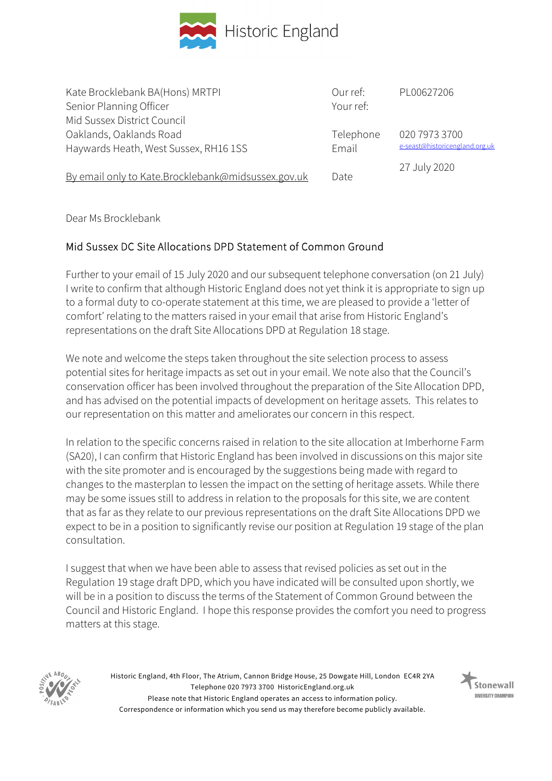

Kate Brocklebank BA(Hons) MRTPI Senior Planning Officer Mid Sussex District Council Oaklands, Oaklands Road Haywards Heath, West Sussex, RH16 1SS By email only to Kate.Brocklebank@midsussex.gov.uk Our ref: Your ref: Telephone Email Date PL00627206 020 7973 3700 e-seast@historicengland.org.uk 27 July 2020

Dear Ms Brocklebank

## Mid Sussex DC Site Allocations DPD Statement of Common Ground

Further to your email of 15 July 2020 and our subsequent telephone conversation (on 21 July) I write to confirm that although Historic England does not yet think it is appropriate to sign up to a formal duty to co-operate statement at this time, we are pleased to provide a 'letter of comfort' relating to the matters raised in your email that arise from Historic England's representations on the draft Site Allocations DPD at Regulation 18 stage.

We note and welcome the steps taken throughout the site selection process to assess potential sites for heritage impacts as set out in your email. We note also that the Council's conservation officer has been involved throughout the preparation of the Site Allocation DPD, and has advised on the potential impacts of development on heritage assets. This relates to our representation on this matter and ameliorates our concern in this respect.

In relation to the specific concerns raised in relation to the site allocation at Imberhorne Farm (SA20), I can confirm that Historic England has been involved in discussions on this major site with the site promoter and is encouraged by the suggestions being made with regard to changes to the masterplan to lessen the impact on the setting of heritage assets. While there may be some issues still to address in relation to the proposals for this site, we are content that as far as they relate to our previous representations on the draft Site Allocations DPD we expect to be in a position to significantly revise our position at Regulation 19 stage of the plan consultation.

I suggest that when we have been able to assess that revised policies as set out in the Regulation 19 stage draft DPD, which you have indicated will be consulted upon shortly, we will be in a position to discuss the terms of the Statement of Common Ground between the Council and Historic England. I hope this response provides the comfort you need to progress matters at this stage.



Historic England, 4th Floor, The Atrium, Cannon Bridge House, 25 Dowgate Hill, London EC4R 2YA Telephone 020 7973 3700 HistoricEngland.org.uk Please note that Historic England operates an access to information policy. Correspondence or information which you send us may therefore become publicly available.